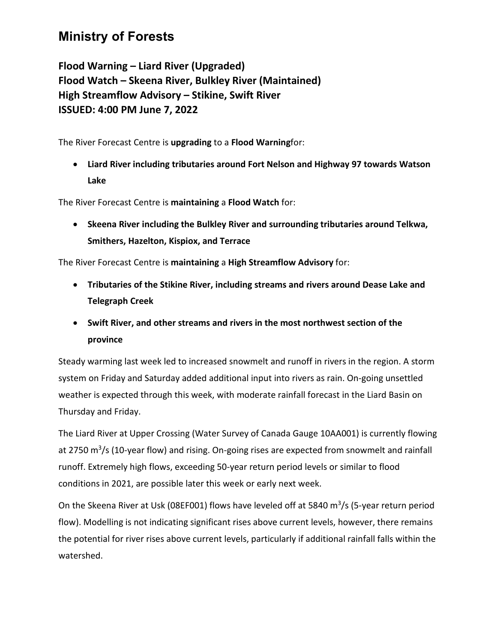## **Ministry of Forests**

**Flood Warning – Liard River (Upgraded) Flood Watch – Skeena River, Bulkley River (Maintained) High Streamflow Advisory – Stikine, Swift River ISSUED: 4:00 PM June 7, 2022**

The River Forecast Centre is **upgrading** to a **Flood Warning**for:

• **Liard River including tributaries around Fort Nelson and Highway 97 towards Watson Lake**

The River Forecast Centre is **maintaining** a **Flood Watch** for:

• **Skeena River including the Bulkley River and surrounding tributaries around Telkwa, Smithers, Hazelton, Kispiox, and Terrace**

The River Forecast Centre is **maintaining** a **High Streamflow Advisory** for:

- **Tributaries of the Stikine River, including streams and rivers around Dease Lake and Telegraph Creek**
- **Swift River, and other streams and rivers in the most northwest section of the province**

Steady warming last week led to increased snowmelt and runoff in rivers in the region. A storm system on Friday and Saturday added additional input into rivers as rain. On-going unsettled weather is expected through this week, with moderate rainfall forecast in the Liard Basin on Thursday and Friday.

The Liard River at Upper Crossing (Water Survey of Canada Gauge 10AA001) is currently flowing at 2750  $\text{m}^3$ /s (10-year flow) and rising. On-going rises are expected from snowmelt and rainfall runoff. Extremely high flows, exceeding 50-year return period levels or similar to flood conditions in 2021, are possible later this week or early next week.

On the Skeena River at Usk (08EF001) flows have leveled off at 5840  $m^3/s$  (5-year return period flow). Modelling is not indicating significant rises above current levels, however, there remains the potential for river rises above current levels, particularly if additional rainfall falls within the watershed.